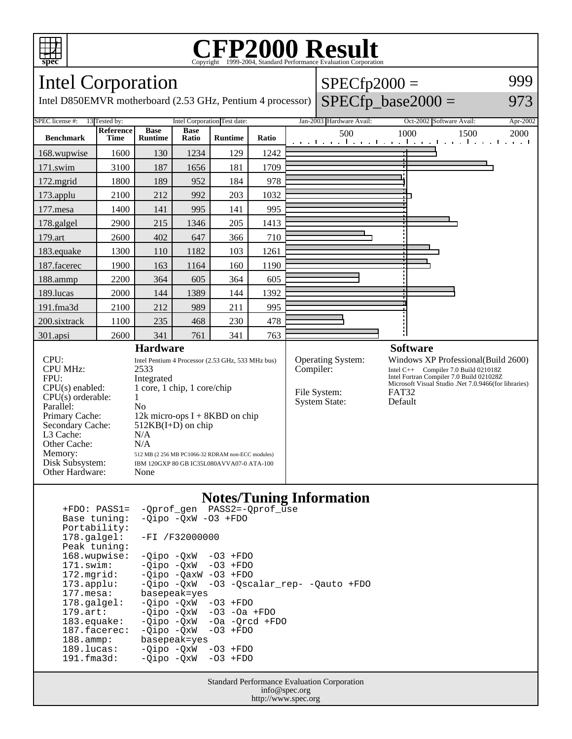

### **CFP2000 Result** Copyright ©1999-2004, Standard Performance Evaluati

#### Intel Corporation Intel D850EMVR motherboard (2.53 GHz, Pentium 4 processor)  $SPECfp2000 =$  $SPECfp\_base2000 =$ 999 973 SPEC license #: 13 Tested by: Intel Corporation Test date: Jan-2003 Hardware Avail: Oct-2002 Software Avail: Apr-2002 **Benchmark Reference Time Base Runtime Base Ratio Runtime Ratio** 500 1000 1500 2000 168.wupwise 1600 130 1234 129 1242 171.swim | 3100 | 187 | 1656 | 181 | 1709 172.mgrid | 1800 | 189 | 952 | 184 | 978 173.applu | 2100 | 212 | 992 | 203 | 1032 177.mesa | 1400 | 141 | 995 | 141 | 995 178.galgel | 2900 | 215 | 1346 | 205 | 1413 179.art | 2600 | 402 | 647 | 366 | 710 183.equake 1300 110 1182 103 1261 187.facerec | 1900 | 163 | 1164 | 160 | 1190 188.ammp | 2200 | 364 | 605 | 364 | 605 189.lucas | 2000 | 144 | 1389 | 144 | 1392 191.fma3d 2100 212 989 211 995 200.sixtrack 1100 235 468 230 478 301.apsi 2600 341 761 341 763 **Hardware** CPU: Intel Pentium 4 Processor (2.53 GHz, 533 MHz bus)<br>CPU MHz: 2533 CPU MHz: FPU: Integrated<br>CPU(s) enabled: 1 core, 1 c  $1$  core,  $1$  chip,  $1$  core/chip  $CPU(s)$  orderable:  $1$ Parallel: No<br>Primary Cache: 12k 12k micro-ops  $I + 8KBD$  on chip Secondary Cache: 512KB(I+D) on chip L3 Cache: N/A<br>Other Cache: N/A Other Cache:<br>Memory: 512 MB (2 256 MB PC1066-32 RDRAM non-ECC modules) Disk Subsystem: IBM 120GXP 80 GB IC35L080AVVA07-0 ATA-100 Other Hardware: None **Software** Operating System: Windows XP Professional(Build 2600)<br>
Compiler: Intel C++ Compiler 7.0 Build 021018Z Intel C++ Compiler 7.0 Build 021018Z Intel Fortran Compiler 7.0 Build 021028Z Microsoft Visual Studio .Net 7.0.9466(for libraries) File System: FAT32<br>System State: Default System State:

### **Notes/Tuning Information**

| $+FDO: PASS1=$        | -Oprof gen PASS2=-Oprof use                 |
|-----------------------|---------------------------------------------|
| Base tuning:          | $-Oipo$ $-OxW$ $-O3$ $+FDO$                 |
| Portability:          |                                             |
| 178.galgel:           | $-FI / F32000000$                           |
| Peak tuning:          |                                             |
| 168.wupwise:          | $-Oipo -OXW -O3 + FDO$                      |
| 171.swim:             | $-Oipo$ $-OxW$ $-O3$ $+FDO$                 |
| 172.mgrid:            | $-Oipo$ $-OaxW$ $-O3$ $+FDO$                |
| $173.\text{applu}:$   | -Oipo -OxW<br>-03 -Qscalar rep- -Qauto +FDO |
| 177.mesa:             | basepeak=yes                                |
| $178.\text{qalgel}$ : | $-Oipo$ $-OxW$ $-O3$ $+FDO$                 |
| $179.$ art:           | $-Qipo -QxW -O3 -Oa + FDO$                  |
| $183$ .equake:        | $-Oipo$ $-OxW$ $-Oa$ $-Orcd$ $+FDO$         |
| 187.facerec:          | $-Oipo$ $-OxW$ $-O3$ $+FDO$                 |
| $188.\text{amm}:$     | basepeak=yes                                |
| 189.lucas:            | $-Oipo$ $-OxW$ $-O3$ $+FDO$                 |
| 191.fma3d:            | $-Oipo$ $-OxW$ $-O3$ $+FDO$                 |
|                       |                                             |

Standard Performance Evaluation Corporation info@spec.org http://www.spec.org